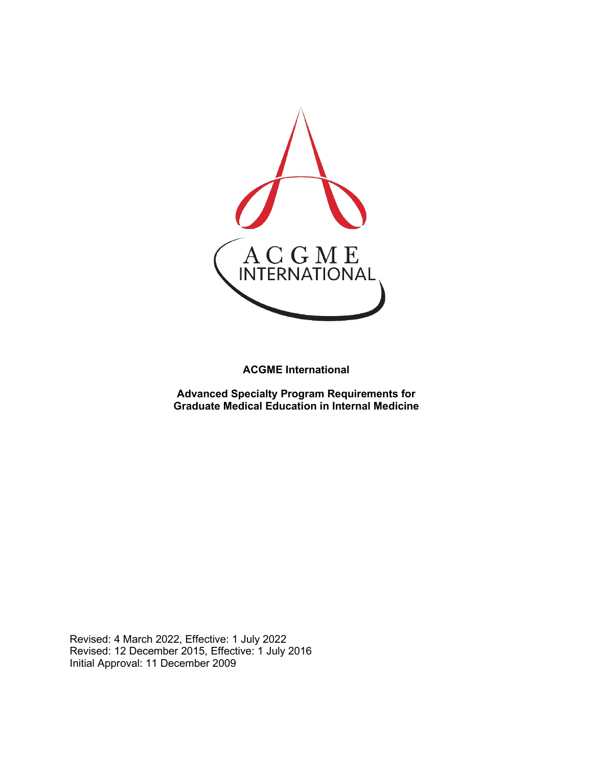

**ACGME International** 

**Advanced Specialty Program Requirements for Graduate Medical Education in Internal Medicine**

Revised: 4 March 2022, Effective: 1 July 2022 Revised: 12 December 2015, Effective: 1 July 2016 Initial Approval: 11 December 2009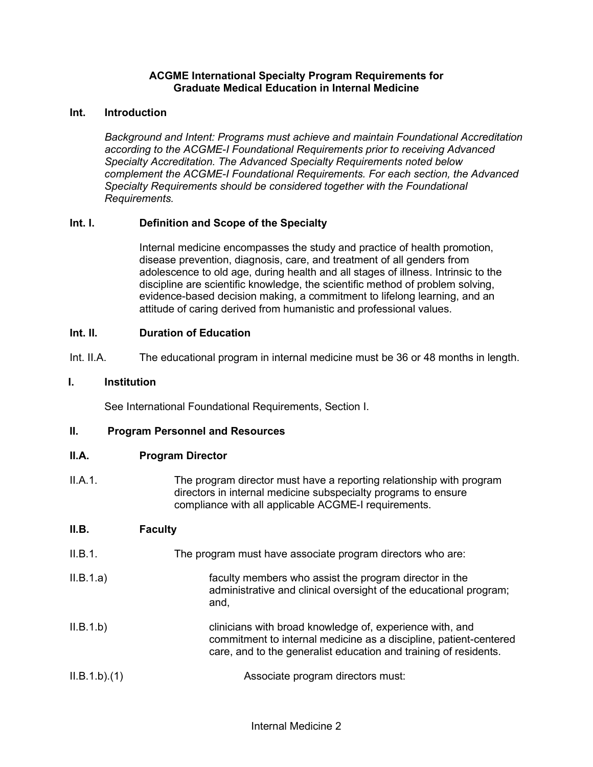## **ACGME International Specialty Program Requirements for Graduate Medical Education in Internal Medicine**

# **Int. Introduction**

*Background and Intent: Programs must achieve and maintain Foundational Accreditation according to the ACGME-I Foundational Requirements prior to receiving Advanced Specialty Accreditation. The Advanced Specialty Requirements noted below complement the ACGME-I Foundational Requirements. For each section, the Advanced Specialty Requirements should be considered together with the Foundational Requirements.*

# **Int. I. Definition and Scope of the Specialty**

Internal medicine encompasses the study and practice of health promotion, disease prevention, diagnosis, care, and treatment of all genders from adolescence to old age, during health and all stages of illness. Intrinsic to the discipline are scientific knowledge, the scientific method of problem solving, evidence-based decision making, a commitment to lifelong learning, and an attitude of caring derived from humanistic and professional values.

## **Int. II. Duration of Education**

Int. II.A. The educational program in internal medicine must be 36 or 48 months in length.

## **I. Institution**

See International Foundational Requirements, Section I.

#### **II. Program Personnel and Resources**

#### **II.A. Program Director**

II.A.1. The program director must have a reporting relationship with program directors in internal medicine subspecialty programs to ensure compliance with all applicable ACGME-I requirements.

# **II.B. Faculty**

- II.B.1. The program must have associate program directors who are:
- II.B.1.a) faculty members who assist the program director in the administrative and clinical oversight of the educational program; and,
- II.B.1.b) clinicians with broad knowledge of, experience with, and commitment to internal medicine as a discipline, patient-centered care, and to the generalist education and training of residents.

```
II.B.1.b).(1) Associate program directors must:
```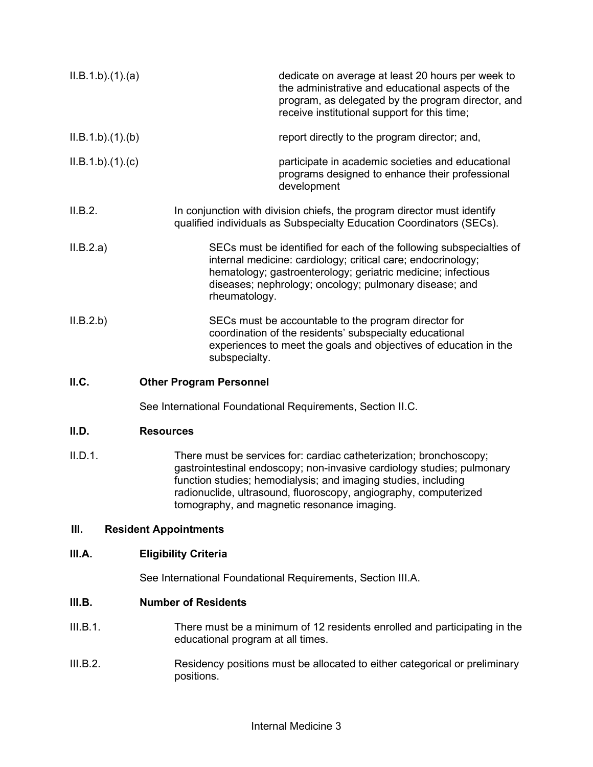| ILB.1.b)(1)(a) | dedicate on average at least 20 hours per week to<br>the administrative and educational aspects of the<br>program, as delegated by the program director, and<br>receive institutional support for this time;                                                                                                                      |
|----------------|-----------------------------------------------------------------------------------------------------------------------------------------------------------------------------------------------------------------------------------------------------------------------------------------------------------------------------------|
| ILB.1.b)(1)(b) | report directly to the program director; and,                                                                                                                                                                                                                                                                                     |
| ILB.1.b)(1)(c) | participate in academic societies and educational<br>programs designed to enhance their professional<br>development                                                                                                                                                                                                               |
| II.B.2.        | In conjunction with division chiefs, the program director must identify<br>qualified individuals as Subspecialty Education Coordinators (SECs).                                                                                                                                                                                   |
| II.B.2.a)      | SECs must be identified for each of the following subspecialties of<br>internal medicine: cardiology; critical care; endocrinology;<br>hematology; gastroenterology; geriatric medicine; infectious<br>diseases; nephrology; oncology; pulmonary disease; and<br>rheumatology.                                                    |
| II.B.2.b)      | SECs must be accountable to the program director for<br>coordination of the residents' subspecialty educational<br>experiences to meet the goals and objectives of education in the<br>subspecialty.                                                                                                                              |
| II.C.          | <b>Other Program Personnel</b>                                                                                                                                                                                                                                                                                                    |
|                | See International Foundational Requirements, Section II.C.                                                                                                                                                                                                                                                                        |
| II.D.          | <b>Resources</b>                                                                                                                                                                                                                                                                                                                  |
| II.D.1.        | There must be services for: cardiac catheterization; bronchoscopy;<br>gastrointestinal endoscopy; non-invasive cardiology studies; pulmonary<br>function studies; hemodialysis; and imaging studies, including<br>radionuclide, ultrasound, fluoroscopy, angiography, computerized<br>tomography, and magnetic resonance imaging. |
| III.           | <b>Resident Appointments</b>                                                                                                                                                                                                                                                                                                      |
| III.A.         | <b>Eligibility Criteria</b>                                                                                                                                                                                                                                                                                                       |

See International Foundational Requirements, Section III.A.

# **III.B. Number of Residents**

- III.B.1. There must be a minimum of 12 residents enrolled and participating in the educational program at all times.
- III.B.2. Residency positions must be allocated to either categorical or preliminary positions.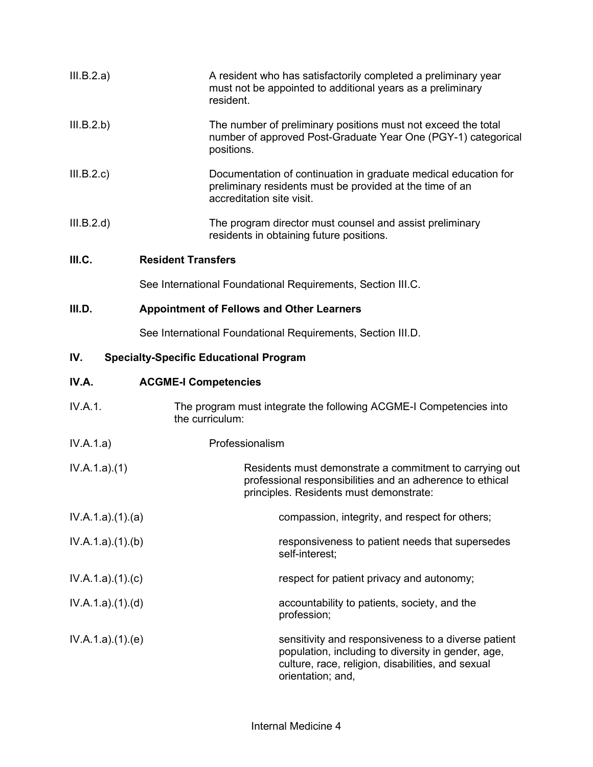| III.B.2.a)      | A resident who has satisfactorily completed a preliminary year<br>must not be appointed to additional years as a preliminary<br>resident.                       |
|-----------------|-----------------------------------------------------------------------------------------------------------------------------------------------------------------|
| III.B.2.b)      | The number of preliminary positions must not exceed the total<br>number of approved Post-Graduate Year One (PGY-1) categorical<br>positions.                    |
| III.B.2.c       | Documentation of continuation in graduate medical education for<br>preliminary residents must be provided at the time of an<br>accreditation site visit.        |
| III.B.2.d)      | The program director must counsel and assist preliminary<br>residents in obtaining future positions.                                                            |
| III.C.          | <b>Resident Transfers</b>                                                                                                                                       |
|                 | See International Foundational Requirements, Section III.C.                                                                                                     |
| III.D.          | <b>Appointment of Fellows and Other Learners</b>                                                                                                                |
|                 | See International Foundational Requirements, Section III.D.                                                                                                     |
| IV.             | <b>Specialty-Specific Educational Program</b>                                                                                                                   |
| IV.A.           | <b>ACGME-I Competencies</b>                                                                                                                                     |
| IV.A.1.         | The program must integrate the following ACGME-I Competencies into<br>the curriculum:                                                                           |
| IV.A.1.a)       | Professionalism                                                                                                                                                 |
| IV.A.1.a)(1)    | Residents must demonstrate a commitment to carrying out<br>professional responsibilities and an adherence to ethical<br>principles. Residents must demonstrate: |
| IV.A.1.a)(1)(a) | compassion, integrity, and respect for others;                                                                                                                  |
| IV.A.1.a)(1)(b) | responsiveness to patient needs that supersedes                                                                                                                 |

IV.A.1.a).(1).(c) respect for patient privacy and autonomy;

self-interest;

- IV.A.1.a).(1).(d) accountability to patients, society, and the profession;
- IV.A.1.a).(1).(e) sensitivity and responsiveness to a diverse patient population, including to diversity in gender, age, culture, race, religion, disabilities, and sexual orientation; and,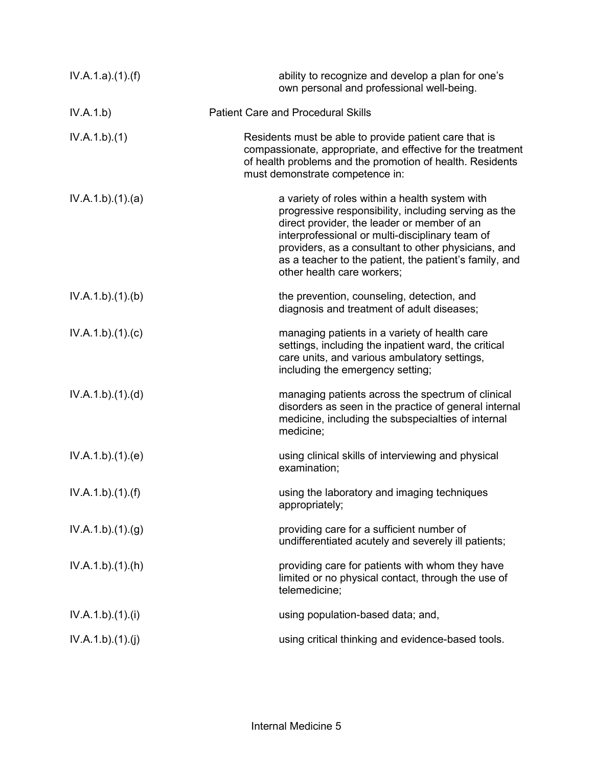| IV.A.1.a)(1).(f) | ability to recognize and develop a plan for one's<br>own personal and professional well-being.                                                                                                                                                                                                                                                          |
|------------------|---------------------------------------------------------------------------------------------------------------------------------------------------------------------------------------------------------------------------------------------------------------------------------------------------------------------------------------------------------|
| IV.A.1.b)        | <b>Patient Care and Procedural Skills</b>                                                                                                                                                                                                                                                                                                               |
| IV.A.1.b)(1)     | Residents must be able to provide patient care that is<br>compassionate, appropriate, and effective for the treatment<br>of health problems and the promotion of health. Residents<br>must demonstrate competence in:                                                                                                                                   |
| IV.A.1.b)(1)(a)  | a variety of roles within a health system with<br>progressive responsibility, including serving as the<br>direct provider, the leader or member of an<br>interprofessional or multi-disciplinary team of<br>providers, as a consultant to other physicians, and<br>as a teacher to the patient, the patient's family, and<br>other health care workers; |
| IV.A.1.b)(1)(b)  | the prevention, counseling, detection, and<br>diagnosis and treatment of adult diseases;                                                                                                                                                                                                                                                                |
| IV.A.1.b)(1)(c)  | managing patients in a variety of health care<br>settings, including the inpatient ward, the critical<br>care units, and various ambulatory settings,<br>including the emergency setting;                                                                                                                                                               |
| IV.A.1.b)(1)(d)  | managing patients across the spectrum of clinical<br>disorders as seen in the practice of general internal<br>medicine, including the subspecialties of internal<br>medicine;                                                                                                                                                                           |
| IV.A.1.b)(1)(e)  | using clinical skills of interviewing and physical<br>examination;                                                                                                                                                                                                                                                                                      |
| IV.A.1.b)(1)(f)  | using the laboratory and imaging techniques<br>appropriately;                                                                                                                                                                                                                                                                                           |
| IV.A.1.b)(1)(g)  | providing care for a sufficient number of<br>undifferentiated acutely and severely ill patients;                                                                                                                                                                                                                                                        |
| IV.A.1.b)(1)(h)  | providing care for patients with whom they have<br>limited or no physical contact, through the use of<br>telemedicine;                                                                                                                                                                                                                                  |
| IV.A.1.b)(1)(i)  | using population-based data; and,                                                                                                                                                                                                                                                                                                                       |
| IV.A.1.b)(1)(j)  | using critical thinking and evidence-based tools.                                                                                                                                                                                                                                                                                                       |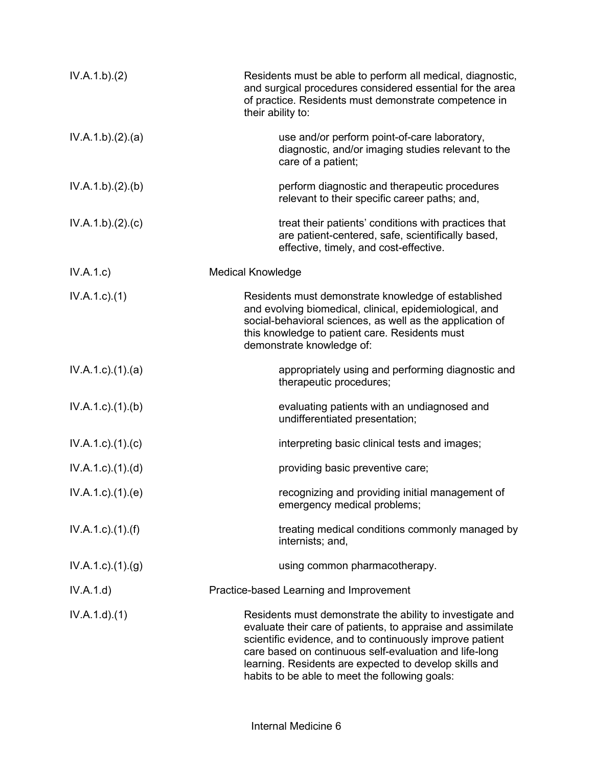| IV.A.1.b)(2)                | Residents must be able to perform all medical, diagnostic,<br>and surgical procedures considered essential for the area<br>of practice. Residents must demonstrate competence in<br>their ability to:                                                                                                                                                      |
|-----------------------------|------------------------------------------------------------------------------------------------------------------------------------------------------------------------------------------------------------------------------------------------------------------------------------------------------------------------------------------------------------|
| IV.A.1.b)(2).(a)            | use and/or perform point-of-care laboratory,<br>diagnostic, and/or imaging studies relevant to the<br>care of a patient;                                                                                                                                                                                                                                   |
| IV.A.1.b)(2)(b)             | perform diagnostic and therapeutic procedures<br>relevant to their specific career paths; and,                                                                                                                                                                                                                                                             |
| IV.A.1.b)(2).(c)            | treat their patients' conditions with practices that<br>are patient-centered, safe, scientifically based,<br>effective, timely, and cost-effective.                                                                                                                                                                                                        |
| IV.A.1.c)                   | <b>Medical Knowledge</b>                                                                                                                                                                                                                                                                                                                                   |
| $IV.A.1.c.$ (1)             | Residents must demonstrate knowledge of established<br>and evolving biomedical, clinical, epidemiological, and<br>social-behavioral sciences, as well as the application of<br>this knowledge to patient care. Residents must<br>demonstrate knowledge of:                                                                                                 |
| $IV.A.1.c$ . $(1).$ $(a)$   | appropriately using and performing diagnostic and<br>therapeutic procedures;                                                                                                                                                                                                                                                                               |
| IV.A.1.c.1(1). (b)          | evaluating patients with an undiagnosed and<br>undifferentiated presentation;                                                                                                                                                                                                                                                                              |
| IV.A.1.c)(1).(c)            | interpreting basic clinical tests and images;                                                                                                                                                                                                                                                                                                              |
| $IV.A.1.c$ . $(1).$ $(d)$   | providing basic preventive care;                                                                                                                                                                                                                                                                                                                           |
| IV.A.1.c.1(1).(e)           | recognizing and providing initial management of<br>emergency medical problems;                                                                                                                                                                                                                                                                             |
| $IV.A.1.c$ ). $(1)$ . $(f)$ | treating medical conditions commonly managed by<br>internists; and,                                                                                                                                                                                                                                                                                        |
| $IV.A.1.c.$ (1).(g)         | using common pharmacotherapy.                                                                                                                                                                                                                                                                                                                              |
| IV.A.1.d)                   | Practice-based Learning and Improvement                                                                                                                                                                                                                                                                                                                    |
| IV.A.1.d)(1)                | Residents must demonstrate the ability to investigate and<br>evaluate their care of patients, to appraise and assimilate<br>scientific evidence, and to continuously improve patient<br>care based on continuous self-evaluation and life-long<br>learning. Residents are expected to develop skills and<br>habits to be able to meet the following goals: |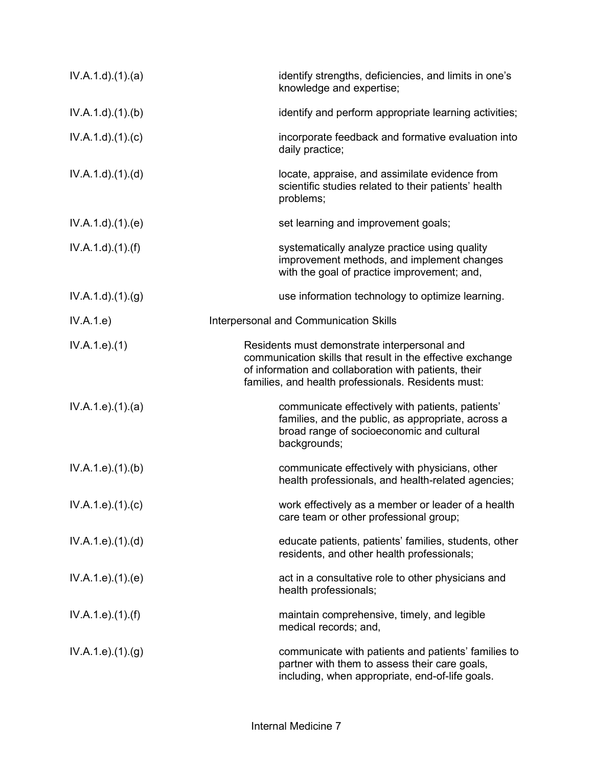| $IV.A.1.d$ . $(1).$ $(a)$     | identify strengths, deficiencies, and limits in one's<br>knowledge and expertise;                                                                                                                                          |
|-------------------------------|----------------------------------------------------------------------------------------------------------------------------------------------------------------------------------------------------------------------------|
| IV.A.1.d.(1)(b)               | identify and perform appropriate learning activities;                                                                                                                                                                      |
| IV.A.1.d)(1)(c)               | incorporate feedback and formative evaluation into<br>daily practice;                                                                                                                                                      |
| IV.A.1.d)(1.(d))              | locate, appraise, and assimilate evidence from<br>scientific studies related to their patients' health<br>problems;                                                                                                        |
| IV.A.1.d)(1.(e)               | set learning and improvement goals;                                                                                                                                                                                        |
| $IV.A.1.d$ . $(1).(f)$        | systematically analyze practice using quality<br>improvement methods, and implement changes<br>with the goal of practice improvement; and,                                                                                 |
| IV.A.1.d.(1). <sub>(g)</sub>  | use information technology to optimize learning.                                                                                                                                                                           |
| IV.A.1.e)                     | Interpersonal and Communication Skills                                                                                                                                                                                     |
| IV.A.1.e. (1)                 | Residents must demonstrate interpersonal and<br>communication skills that result in the effective exchange<br>of information and collaboration with patients, their<br>families, and health professionals. Residents must: |
| IV.A.1.e. (1). (a)            | communicate effectively with patients, patients'<br>families, and the public, as appropriate, across a<br>broad range of socioeconomic and cultural<br>backgrounds;                                                        |
| IV.A.1.e. (1)(b)              | communicate effectively with physicians, other<br>health professionals, and health-related agencies;                                                                                                                       |
| IV.A.1.e. (1). (c)            | work effectively as a member or leader of a health<br>care team or other professional group;                                                                                                                               |
| IV.A.1.e. (1). (d)            | educate patients, patients' families, students, other<br>residents, and other health professionals;                                                                                                                        |
| IV.A.1.e. (1). (e)            | act in a consultative role to other physicians and<br>health professionals;                                                                                                                                                |
| IV.A.1.e. (1). (f)            | maintain comprehensive, timely, and legible<br>medical records; and,                                                                                                                                                       |
| IV.A.1.e. (1). <sub>(g)</sub> | communicate with patients and patients' families to<br>partner with them to assess their care goals,<br>including, when appropriate, end-of-life goals.                                                                    |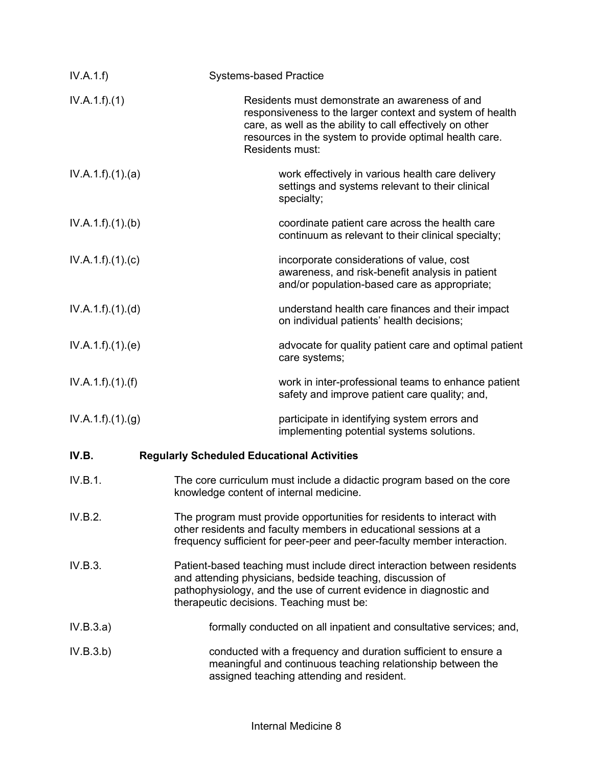| IV.A.1.f)         | <b>Systems-based Practice</b>                                                                                                                                                                                                                           |
|-------------------|---------------------------------------------------------------------------------------------------------------------------------------------------------------------------------------------------------------------------------------------------------|
| IV.A.1.f)(1)      | Residents must demonstrate an awareness of and<br>responsiveness to the larger context and system of health<br>care, as well as the ability to call effectively on other<br>resources in the system to provide optimal health care.<br>Residents must:  |
| IV.A.1.f).(1).(a) | work effectively in various health care delivery<br>settings and systems relevant to their clinical<br>specialty;                                                                                                                                       |
| IV.A.1.f)(1)(b)   | coordinate patient care across the health care<br>continuum as relevant to their clinical specialty;                                                                                                                                                    |
| IV.A.1.f)(1)(c)   | incorporate considerations of value, cost<br>awareness, and risk-benefit analysis in patient<br>and/or population-based care as appropriate;                                                                                                            |
| IV.A.1.f)(1)(d)   | understand health care finances and their impact<br>on individual patients' health decisions;                                                                                                                                                           |
| IV.A.1.f)(1)(e)   | advocate for quality patient care and optimal patient<br>care systems;                                                                                                                                                                                  |
| IV.A.1.f)(1)(f)   | work in inter-professional teams to enhance patient<br>safety and improve patient care quality; and,                                                                                                                                                    |
| IV.A.1.f)(1)(g)   | participate in identifying system errors and<br>implementing potential systems solutions.                                                                                                                                                               |
| IV.B.             | <b>Regularly Scheduled Educational Activities</b>                                                                                                                                                                                                       |
| IV.B.1.           | The core curriculum must include a didactic program based on the core<br>knowledge content of internal medicine.                                                                                                                                        |
| IV.B.2.           | The program must provide opportunities for residents to interact with<br>other residents and faculty members in educational sessions at a<br>frequency sufficient for peer-peer and peer-faculty member interaction.                                    |
| IV.B.3.           | Patient-based teaching must include direct interaction between residents<br>and attending physicians, bedside teaching, discussion of<br>pathophysiology, and the use of current evidence in diagnostic and<br>therapeutic decisions. Teaching must be: |
| IV.B.3.a)         | formally conducted on all inpatient and consultative services; and,                                                                                                                                                                                     |
| IV.B.3.b)         | conducted with a frequency and duration sufficient to ensure a<br>meaningful and continuous teaching relationship between the<br>assigned teaching attending and resident.                                                                              |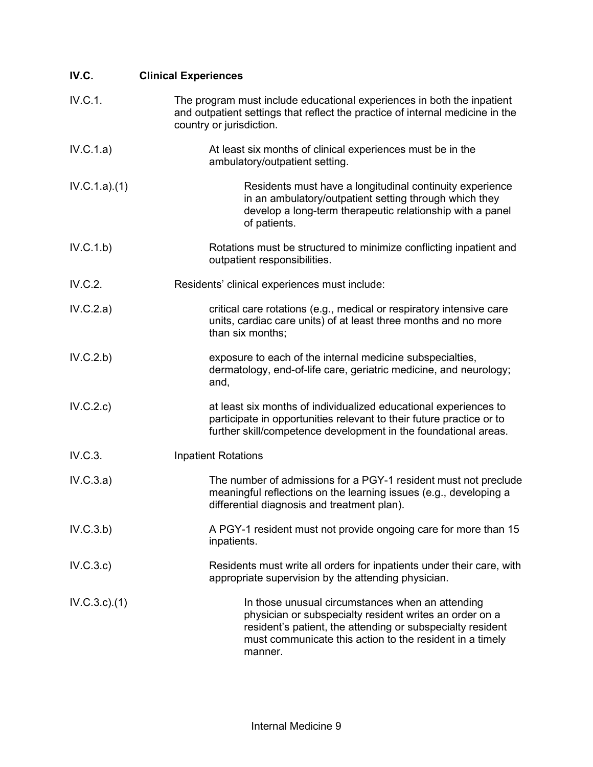| IV.C.        | <b>Clinical Experiences</b>                                                                                                                                                                                                                      |
|--------------|--------------------------------------------------------------------------------------------------------------------------------------------------------------------------------------------------------------------------------------------------|
| IV.C.1.      | The program must include educational experiences in both the inpatient<br>and outpatient settings that reflect the practice of internal medicine in the<br>country or jurisdiction.                                                              |
| IV.C.1.a)    | At least six months of clinical experiences must be in the<br>ambulatory/outpatient setting.                                                                                                                                                     |
| IV.C.1.a)(1) | Residents must have a longitudinal continuity experience<br>in an ambulatory/outpatient setting through which they<br>develop a long-term therapeutic relationship with a panel<br>of patients.                                                  |
| IV.C.1.b)    | Rotations must be structured to minimize conflicting inpatient and<br>outpatient responsibilities.                                                                                                                                               |
| IV.C.2.      | Residents' clinical experiences must include:                                                                                                                                                                                                    |
| IV.C.2.a)    | critical care rotations (e.g., medical or respiratory intensive care<br>units, cardiac care units) of at least three months and no more<br>than six months;                                                                                      |
| IV.C.2.b)    | exposure to each of the internal medicine subspecialties,<br>dermatology, end-of-life care, geriatric medicine, and neurology;<br>and,                                                                                                           |
| IV.C.2.c     | at least six months of individualized educational experiences to<br>participate in opportunities relevant to their future practice or to<br>further skill/competence development in the foundational areas.                                      |
| IV.C.3.      | <b>Inpatient Rotations</b>                                                                                                                                                                                                                       |
| IV.C.3.a)    | The number of admissions for a PGY-1 resident must not preclude<br>meaningful reflections on the learning issues (e.g., developing a<br>differential diagnosis and treatment plan).                                                              |
| IV.C.3.b)    | A PGY-1 resident must not provide ongoing care for more than 15<br>inpatients.                                                                                                                                                                   |
| IV.C.3.c)    | Residents must write all orders for inpatients under their care, with<br>appropriate supervision by the attending physician.                                                                                                                     |
| IV.C.3.c.1)  | In those unusual circumstances when an attending<br>physician or subspecialty resident writes an order on a<br>resident's patient, the attending or subspecialty resident<br>must communicate this action to the resident in a timely<br>manner. |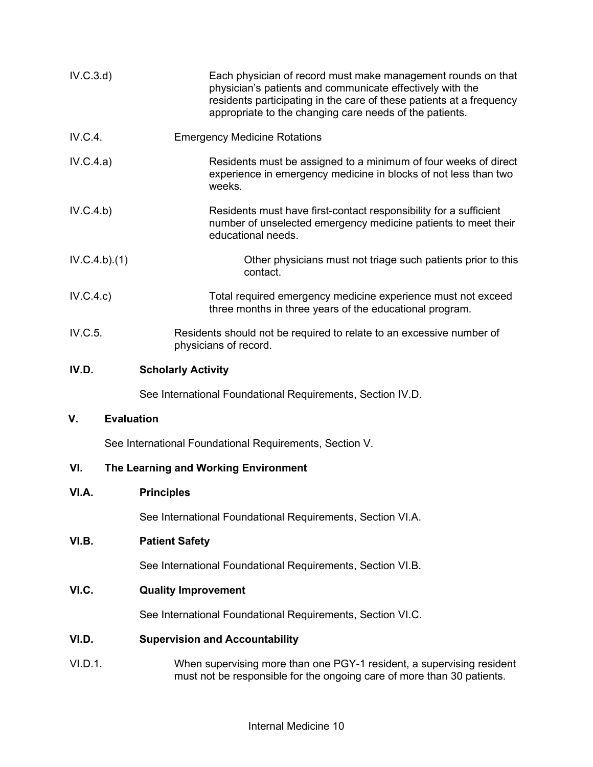| IV.C.3.d     | Each physician of record must make management rounds on that<br>physician's patients and communicate effectively with the<br>residents participating in the care of these patients at a frequency<br>appropriate to the changing care needs of the patients. |
|--------------|--------------------------------------------------------------------------------------------------------------------------------------------------------------------------------------------------------------------------------------------------------------|
| IV.C.4.      | <b>Emergency Medicine Rotations</b>                                                                                                                                                                                                                          |
| IV.C.4.a)    | Residents must be assigned to a minimum of four weeks of direct<br>experience in emergency medicine in blocks of not less than two<br>weeks.                                                                                                                 |
| IV.C.4.b)    | Residents must have first-contact responsibility for a sufficient<br>number of unselected emergency medicine patients to meet their<br>educational needs.                                                                                                    |
| IV.C.4.b)(1) | Other physicians must not triage such patients prior to this<br>contact.                                                                                                                                                                                     |
| IV.C.4.c)    | Total required emergency medicine experience must not exceed<br>three months in three years of the educational program.                                                                                                                                      |
| IV.C.5.      | Residents should not be required to relate to an excessive number of<br>physicians of record.                                                                                                                                                                |
| IV.D.        | <b>Scholarly Activity</b>                                                                                                                                                                                                                                    |
|              | See International Foundational Requirements, Section IV.D.                                                                                                                                                                                                   |
| ۷.           | <b>Evaluation</b>                                                                                                                                                                                                                                            |
|              | See International Foundational Requirements, Section V.                                                                                                                                                                                                      |
| VI.          | The Learning and Working Environment                                                                                                                                                                                                                         |
| VI.A.        | <b>Principles</b>                                                                                                                                                                                                                                            |
|              | See International Foundational Requirements, Section VI.A.                                                                                                                                                                                                   |
| VI.B.        | <b>Patient Safety</b>                                                                                                                                                                                                                                        |
|              | See International Foundational Requirements, Section VI.B.                                                                                                                                                                                                   |
| VI.C.        | <b>Quality Improvement</b>                                                                                                                                                                                                                                   |
|              | See International Foundational Requirements, Section VI.C.                                                                                                                                                                                                   |
| VI.D.        | <b>Supervision and Accountability</b>                                                                                                                                                                                                                        |
| VI.D.1.      | When supervising more than one PGY-1 resident, a supervising resident<br>must not be responsible for the ongoing care of more than 30 patients.                                                                                                              |